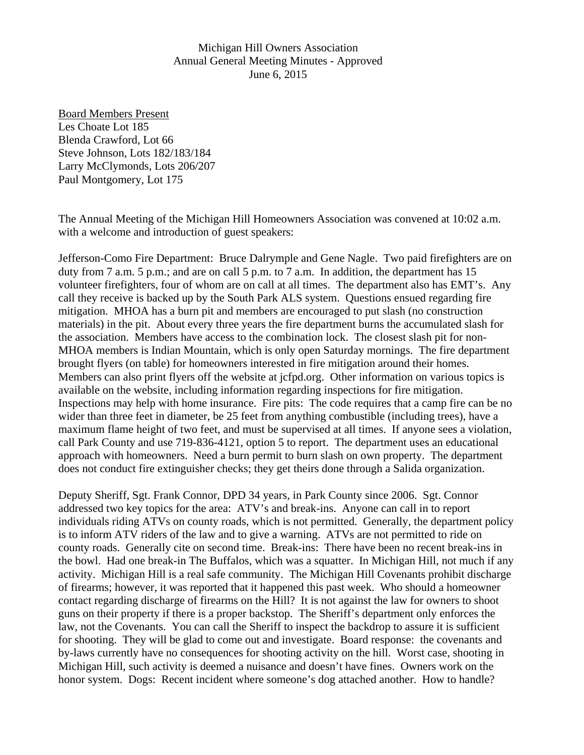Michigan Hill Owners Association Annual General Meeting Minutes - Approved June 6, 2015

Board Members Present Les Choate Lot 185 Blenda Crawford, Lot 66 Steve Johnson, Lots 182/183/184 Larry McClymonds, Lots 206/207 Paul Montgomery, Lot 175

The Annual Meeting of the Michigan Hill Homeowners Association was convened at 10:02 a.m. with a welcome and introduction of guest speakers:

Jefferson-Como Fire Department: Bruce Dalrymple and Gene Nagle. Two paid firefighters are on duty from 7 a.m. 5 p.m.; and are on call 5 p.m. to 7 a.m. In addition, the department has 15 volunteer firefighters, four of whom are on call at all times. The department also has EMT's. Any call they receive is backed up by the South Park ALS system. Questions ensued regarding fire mitigation. MHOA has a burn pit and members are encouraged to put slash (no construction materials) in the pit. About every three years the fire department burns the accumulated slash for the association. Members have access to the combination lock. The closest slash pit for non-MHOA members is Indian Mountain, which is only open Saturday mornings. The fire department brought flyers (on table) for homeowners interested in fire mitigation around their homes. Members can also print flyers off the website at jcfpd.org. Other information on various topics is available on the website, including information regarding inspections for fire mitigation. Inspections may help with home insurance. Fire pits: The code requires that a camp fire can be no wider than three feet in diameter, be 25 feet from anything combustible (including trees), have a maximum flame height of two feet, and must be supervised at all times. If anyone sees a violation, call Park County and use 719-836-4121, option 5 to report. The department uses an educational approach with homeowners. Need a burn permit to burn slash on own property. The department does not conduct fire extinguisher checks; they get theirs done through a Salida organization.

Deputy Sheriff, Sgt. Frank Connor, DPD 34 years, in Park County since 2006. Sgt. Connor addressed two key topics for the area: ATV's and break-ins. Anyone can call in to report individuals riding ATVs on county roads, which is not permitted. Generally, the department policy is to inform ATV riders of the law and to give a warning. ATVs are not permitted to ride on county roads. Generally cite on second time. Break-ins: There have been no recent break-ins in the bowl. Had one break-in The Buffalos, which was a squatter. In Michigan Hill, not much if any activity. Michigan Hill is a real safe community. The Michigan Hill Covenants prohibit discharge of firearms; however, it was reported that it happened this past week. Who should a homeowner contact regarding discharge of firearms on the Hill? It is not against the law for owners to shoot guns on their property if there is a proper backstop. The Sheriff's department only enforces the law, not the Covenants. You can call the Sheriff to inspect the backdrop to assure it is sufficient for shooting. They will be glad to come out and investigate. Board response: the covenants and by-laws currently have no consequences for shooting activity on the hill. Worst case, shooting in Michigan Hill, such activity is deemed a nuisance and doesn't have fines. Owners work on the honor system. Dogs: Recent incident where someone's dog attached another. How to handle?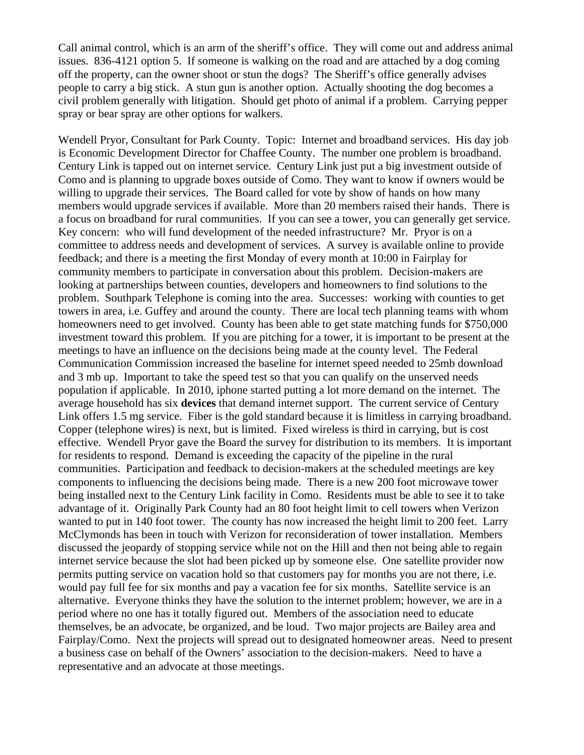Call animal control, which is an arm of the sheriff's office. They will come out and address animal issues. 836-4121 option 5. If someone is walking on the road and are attached by a dog coming off the property, can the owner shoot or stun the dogs? The Sheriff's office generally advises people to carry a big stick. A stun gun is another option. Actually shooting the dog becomes a civil problem generally with litigation. Should get photo of animal if a problem. Carrying pepper spray or bear spray are other options for walkers.

Wendell Pryor, Consultant for Park County. Topic: Internet and broadband services. His day job is Economic Development Director for Chaffee County. The number one problem is broadband. Century Link is tapped out on internet service. Century Link just put a big investment outside of Como and is planning to upgrade boxes outside of Como. They want to know if owners would be willing to upgrade their services. The Board called for vote by show of hands on how many members would upgrade services if available. More than 20 members raised their hands. There is a focus on broadband for rural communities. If you can see a tower, you can generally get service. Key concern: who will fund development of the needed infrastructure? Mr. Pryor is on a committee to address needs and development of services. A survey is available online to provide feedback; and there is a meeting the first Monday of every month at 10:00 in Fairplay for community members to participate in conversation about this problem. Decision-makers are looking at partnerships between counties, developers and homeowners to find solutions to the problem. Southpark Telephone is coming into the area. Successes: working with counties to get towers in area, i.e. Guffey and around the county. There are local tech planning teams with whom homeowners need to get involved. County has been able to get state matching funds for \$750,000 investment toward this problem. If you are pitching for a tower, it is important to be present at the meetings to have an influence on the decisions being made at the county level. The Federal Communication Commission increased the baseline for internet speed needed to 25mb download and 3 mb up. Important to take the speed test so that you can qualify on the unserved needs population if applicable. In 2010, iphone started putting a lot more demand on the internet. The average household has six **devices** that demand internet support. The current service of Century Link offers 1.5 mg service. Fiber is the gold standard because it is limitless in carrying broadband. Copper (telephone wires) is next, but is limited. Fixed wireless is third in carrying, but is cost effective. Wendell Pryor gave the Board the survey for distribution to its members. It is important for residents to respond. Demand is exceeding the capacity of the pipeline in the rural communities. Participation and feedback to decision-makers at the scheduled meetings are key components to influencing the decisions being made. There is a new 200 foot microwave tower being installed next to the Century Link facility in Como. Residents must be able to see it to take advantage of it. Originally Park County had an 80 foot height limit to cell towers when Verizon wanted to put in 140 foot tower. The county has now increased the height limit to 200 feet. Larry McClymonds has been in touch with Verizon for reconsideration of tower installation. Members discussed the jeopardy of stopping service while not on the Hill and then not being able to regain internet service because the slot had been picked up by someone else. One satellite provider now permits putting service on vacation hold so that customers pay for months you are not there, i.e. would pay full fee for six months and pay a vacation fee for six months. Satellite service is an alternative. Everyone thinks they have the solution to the internet problem; however, we are in a period where no one has it totally figured out. Members of the association need to educate themselves, be an advocate, be organized, and be loud. Two major projects are Bailey area and Fairplay/Como. Next the projects will spread out to designated homeowner areas. Need to present a business case on behalf of the Owners' association to the decision-makers. Need to have a representative and an advocate at those meetings.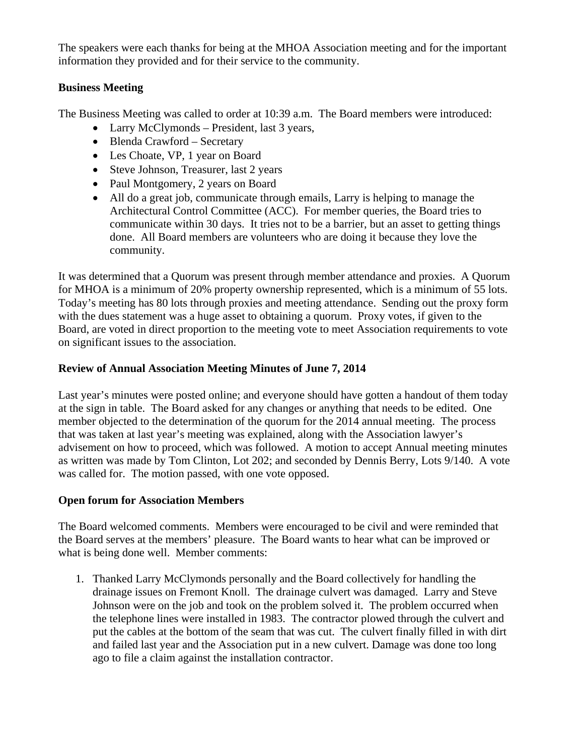The speakers were each thanks for being at the MHOA Association meeting and for the important information they provided and for their service to the community.

# **Business Meeting**

The Business Meeting was called to order at 10:39 a.m. The Board members were introduced:

- Larry McClymonds President, last 3 years,
- Blenda Crawford Secretary
- Les Choate, VP, 1 year on Board
- Steve Johnson, Treasurer, last 2 years
- Paul Montgomery, 2 years on Board
- All do a great job, communicate through emails, Larry is helping to manage the Architectural Control Committee (ACC). For member queries, the Board tries to communicate within 30 days. It tries not to be a barrier, but an asset to getting things done. All Board members are volunteers who are doing it because they love the community.

It was determined that a Quorum was present through member attendance and proxies. A Quorum for MHOA is a minimum of 20% property ownership represented, which is a minimum of 55 lots. Today's meeting has 80 lots through proxies and meeting attendance. Sending out the proxy form with the dues statement was a huge asset to obtaining a quorum. Proxy votes, if given to the Board, are voted in direct proportion to the meeting vote to meet Association requirements to vote on significant issues to the association.

# **Review of Annual Association Meeting Minutes of June 7, 2014**

Last year's minutes were posted online; and everyone should have gotten a handout of them today at the sign in table. The Board asked for any changes or anything that needs to be edited. One member objected to the determination of the quorum for the 2014 annual meeting. The process that was taken at last year's meeting was explained, along with the Association lawyer's advisement on how to proceed, which was followed. A motion to accept Annual meeting minutes as written was made by Tom Clinton, Lot 202; and seconded by Dennis Berry, Lots 9/140. A vote was called for. The motion passed, with one vote opposed.

# **Open forum for Association Members**

The Board welcomed comments. Members were encouraged to be civil and were reminded that the Board serves at the members' pleasure. The Board wants to hear what can be improved or what is being done well. Member comments:

1. Thanked Larry McClymonds personally and the Board collectively for handling the drainage issues on Fremont Knoll. The drainage culvert was damaged. Larry and Steve Johnson were on the job and took on the problem solved it. The problem occurred when the telephone lines were installed in 1983. The contractor plowed through the culvert and put the cables at the bottom of the seam that was cut. The culvert finally filled in with dirt and failed last year and the Association put in a new culvert. Damage was done too long ago to file a claim against the installation contractor.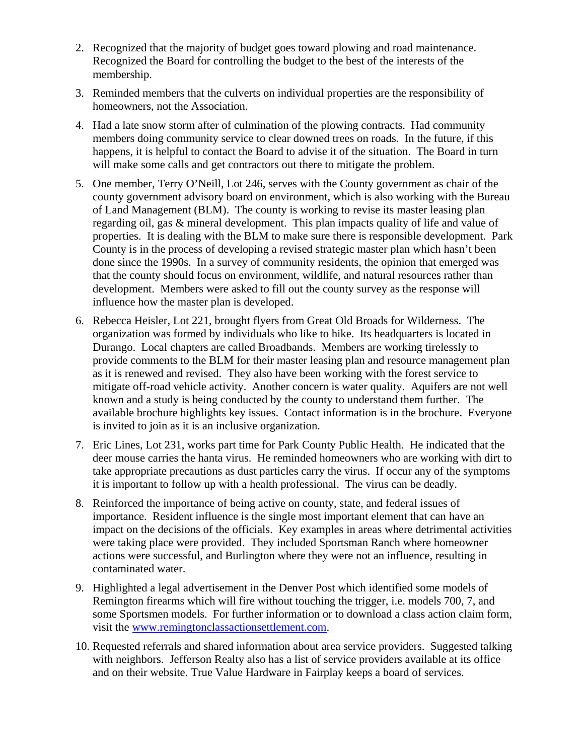- 2. Recognized that the majority of budget goes toward plowing and road maintenance. Recognized the Board for controlling the budget to the best of the interests of the membership.
- 3. Reminded members that the culverts on individual properties are the responsibility of homeowners, not the Association.
- 4. Had a late snow storm after of culmination of the plowing contracts. Had community members doing community service to clear downed trees on roads. In the future, if this happens, it is helpful to contact the Board to advise it of the situation. The Board in turn will make some calls and get contractors out there to mitigate the problem.
- 5. One member, Terry O'Neill, Lot 246, serves with the County government as chair of the county government advisory board on environment, which is also working with the Bureau of Land Management (BLM). The county is working to revise its master leasing plan regarding oil, gas & mineral development. This plan impacts quality of life and value of properties. It is dealing with the BLM to make sure there is responsible development. Park County is in the process of developing a revised strategic master plan which hasn't been done since the 1990s. In a survey of community residents, the opinion that emerged was that the county should focus on environment, wildlife, and natural resources rather than development. Members were asked to fill out the county survey as the response will influence how the master plan is developed.
- 6. Rebecca Heisler, Lot 221, brought flyers from Great Old Broads for Wilderness. The organization was formed by individuals who like to hike. Its headquarters is located in Durango. Local chapters are called Broadbands. Members are working tirelessly to provide comments to the BLM for their master leasing plan and resource management plan as it is renewed and revised. They also have been working with the forest service to mitigate off-road vehicle activity. Another concern is water quality. Aquifers are not well known and a study is being conducted by the county to understand them further. The available brochure highlights key issues. Contact information is in the brochure. Everyone is invited to join as it is an inclusive organization.
- 7. Eric Lines, Lot 231, works part time for Park County Public Health. He indicated that the deer mouse carries the hanta virus. He reminded homeowners who are working with dirt to take appropriate precautions as dust particles carry the virus. If occur any of the symptoms it is important to follow up with a health professional. The virus can be deadly.
- 8. Reinforced the importance of being active on county, state, and federal issues of importance. Resident influence is the single most important element that can have an impact on the decisions of the officials. Key examples in areas where detrimental activities were taking place were provided. They included Sportsman Ranch where homeowner actions were successful, and Burlington where they were not an influence, resulting in contaminated water.
- 9. Highlighted a legal advertisement in the Denver Post which identified some models of Remington firearms which will fire without touching the trigger, i.e. models 700, 7, and some Sportsmen models. For further information or to download a class action claim form, visit the www.remingtonclassactionsettlement.com.
- 10. Requested referrals and shared information about area service providers. Suggested talking with neighbors. Jefferson Realty also has a list of service providers available at its office and on their website. True Value Hardware in Fairplay keeps a board of services.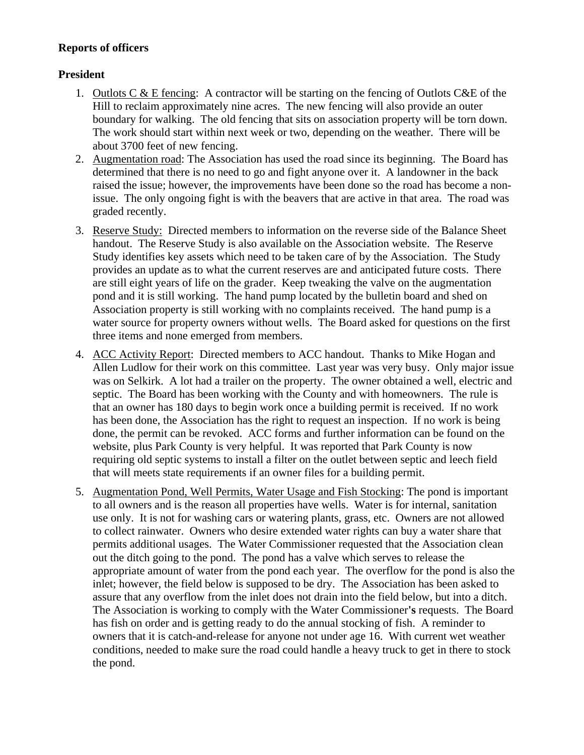# **Reports of officers**

# **President**

- 1. Outlots  $C \& E$  fencing: A contractor will be starting on the fencing of Outlots  $C \& E$  of the Hill to reclaim approximately nine acres. The new fencing will also provide an outer boundary for walking. The old fencing that sits on association property will be torn down. The work should start within next week or two, depending on the weather. There will be about 3700 feet of new fencing.
- 2. Augmentation road: The Association has used the road since its beginning. The Board has determined that there is no need to go and fight anyone over it. A landowner in the back raised the issue; however, the improvements have been done so the road has become a nonissue. The only ongoing fight is with the beavers that are active in that area. The road was graded recently.
- 3. Reserve Study: Directed members to information on the reverse side of the Balance Sheet handout. The Reserve Study is also available on the Association website. The Reserve Study identifies key assets which need to be taken care of by the Association. The Study provides an update as to what the current reserves are and anticipated future costs. There are still eight years of life on the grader. Keep tweaking the valve on the augmentation pond and it is still working. The hand pump located by the bulletin board and shed on Association property is still working with no complaints received. The hand pump is a water source for property owners without wells. The Board asked for questions on the first three items and none emerged from members.
- 4. ACC Activity Report: Directed members to ACC handout. Thanks to Mike Hogan and Allen Ludlow for their work on this committee. Last year was very busy. Only major issue was on Selkirk. A lot had a trailer on the property. The owner obtained a well, electric and septic. The Board has been working with the County and with homeowners. The rule is that an owner has 180 days to begin work once a building permit is received. If no work has been done, the Association has the right to request an inspection. If no work is being done, the permit can be revoked. ACC forms and further information can be found on the website, plus Park County is very helpful. It was reported that Park County is now requiring old septic systems to install a filter on the outlet between septic and leech field that will meets state requirements if an owner files for a building permit.
- 5. Augmentation Pond, Well Permits, Water Usage and Fish Stocking: The pond is important to all owners and is the reason all properties have wells. Water is for internal, sanitation use only. It is not for washing cars or watering plants, grass, etc. Owners are not allowed to collect rainwater. Owners who desire extended water rights can buy a water share that permits additional usages. The Water Commissioner requested that the Association clean out the ditch going to the pond. The pond has a valve which serves to release the appropriate amount of water from the pond each year. The overflow for the pond is also the inlet; however, the field below is supposed to be dry. The Association has been asked to assure that any overflow from the inlet does not drain into the field below, but into a ditch. The Association is working to comply with the Water Commissioner**'s** requests. The Board has fish on order and is getting ready to do the annual stocking of fish. A reminder to owners that it is catch-and-release for anyone not under age 16. With current wet weather conditions, needed to make sure the road could handle a heavy truck to get in there to stock the pond.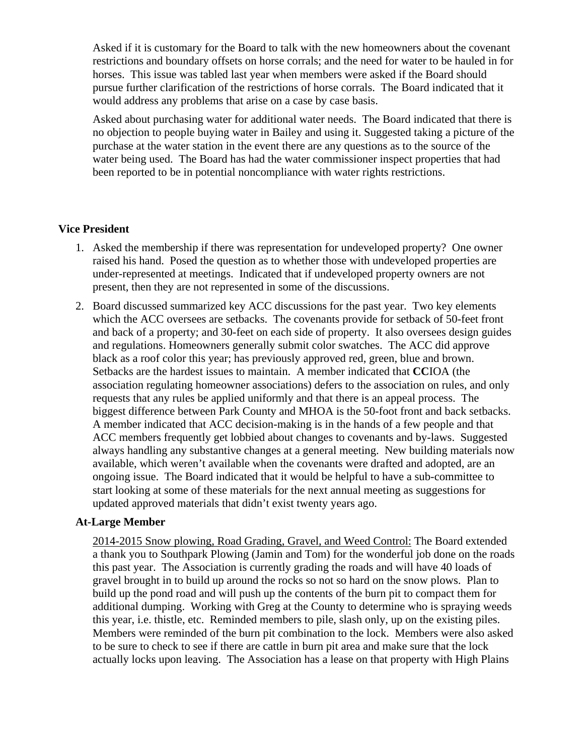Asked if it is customary for the Board to talk with the new homeowners about the covenant restrictions and boundary offsets on horse corrals; and the need for water to be hauled in for horses. This issue was tabled last year when members were asked if the Board should pursue further clarification of the restrictions of horse corrals. The Board indicated that it would address any problems that arise on a case by case basis.

Asked about purchasing water for additional water needs. The Board indicated that there is no objection to people buying water in Bailey and using it. Suggested taking a picture of the purchase at the water station in the event there are any questions as to the source of the water being used. The Board has had the water commissioner inspect properties that had been reported to be in potential noncompliance with water rights restrictions.

# **Vice President**

- 1. Asked the membership if there was representation for undeveloped property? One owner raised his hand. Posed the question as to whether those with undeveloped properties are under-represented at meetings. Indicated that if undeveloped property owners are not present, then they are not represented in some of the discussions.
- 2. Board discussed summarized key ACC discussions for the past year. Two key elements which the ACC oversees are setbacks. The covenants provide for setback of 50-feet front and back of a property; and 30-feet on each side of property. It also oversees design guides and regulations. Homeowners generally submit color swatches. The ACC did approve black as a roof color this year; has previously approved red, green, blue and brown. Setbacks are the hardest issues to maintain. A member indicated that **CC**IOA (the association regulating homeowner associations) defers to the association on rules, and only requests that any rules be applied uniformly and that there is an appeal process. The biggest difference between Park County and MHOA is the 50-foot front and back setbacks. A member indicated that ACC decision-making is in the hands of a few people and that ACC members frequently get lobbied about changes to covenants and by-laws. Suggested always handling any substantive changes at a general meeting. New building materials now available, which weren't available when the covenants were drafted and adopted, are an ongoing issue. The Board indicated that it would be helpful to have a sub-committee to start looking at some of these materials for the next annual meeting as suggestions for updated approved materials that didn't exist twenty years ago.

### **At-Large Member**

2014-2015 Snow plowing, Road Grading, Gravel, and Weed Control: The Board extended a thank you to Southpark Plowing (Jamin and Tom) for the wonderful job done on the roads this past year. The Association is currently grading the roads and will have 40 loads of gravel brought in to build up around the rocks so not so hard on the snow plows. Plan to build up the pond road and will push up the contents of the burn pit to compact them for additional dumping. Working with Greg at the County to determine who is spraying weeds this year, i.e. thistle, etc. Reminded members to pile, slash only, up on the existing piles. Members were reminded of the burn pit combination to the lock. Members were also asked to be sure to check to see if there are cattle in burn pit area and make sure that the lock actually locks upon leaving. The Association has a lease on that property with High Plains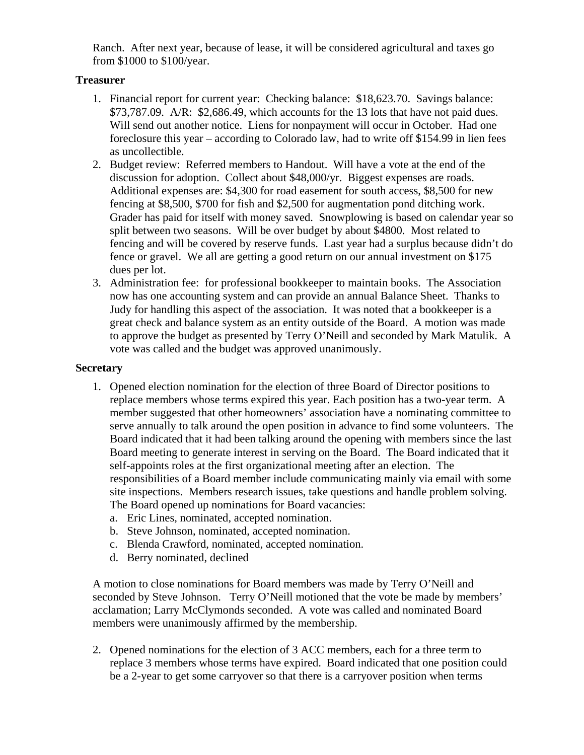Ranch. After next year, because of lease, it will be considered agricultural and taxes go from \$1000 to \$100/year.

# **Treasurer**

- 1. Financial report for current year: Checking balance: \$18,623.70. Savings balance: \$73,787.09. A/R: \$2,686.49, which accounts for the 13 lots that have not paid dues. Will send out another notice. Liens for nonpayment will occur in October. Had one foreclosure this year – according to Colorado law, had to write off \$154.99 in lien fees as uncollectible.
- 2. Budget review: Referred members to Handout. Will have a vote at the end of the discussion for adoption. Collect about \$48,000/yr. Biggest expenses are roads. Additional expenses are: \$4,300 for road easement for south access, \$8,500 for new fencing at \$8,500, \$700 for fish and \$2,500 for augmentation pond ditching work. Grader has paid for itself with money saved. Snowplowing is based on calendar year so split between two seasons. Will be over budget by about \$4800. Most related to fencing and will be covered by reserve funds. Last year had a surplus because didn't do fence or gravel. We all are getting a good return on our annual investment on \$175 dues per lot.
- 3. Administration fee: for professional bookkeeper to maintain books. The Association now has one accounting system and can provide an annual Balance Sheet. Thanks to Judy for handling this aspect of the association. It was noted that a bookkeeper is a great check and balance system as an entity outside of the Board. A motion was made to approve the budget as presented by Terry O'Neill and seconded by Mark Matulik. A vote was called and the budget was approved unanimously.

# **Secretary**

- 1. Opened election nomination for the election of three Board of Director positions to replace members whose terms expired this year. Each position has a two-year term. A member suggested that other homeowners' association have a nominating committee to serve annually to talk around the open position in advance to find some volunteers. The Board indicated that it had been talking around the opening with members since the last Board meeting to generate interest in serving on the Board. The Board indicated that it self-appoints roles at the first organizational meeting after an election. The responsibilities of a Board member include communicating mainly via email with some site inspections. Members research issues, take questions and handle problem solving. The Board opened up nominations for Board vacancies:
	- a. Eric Lines, nominated, accepted nomination.
	- b. Steve Johnson, nominated, accepted nomination.
	- c. Blenda Crawford, nominated, accepted nomination.
	- d. Berry nominated, declined

A motion to close nominations for Board members was made by Terry O'Neill and seconded by Steve Johnson. Terry O'Neill motioned that the vote be made by members' acclamation; Larry McClymonds seconded. A vote was called and nominated Board members were unanimously affirmed by the membership.

2. Opened nominations for the election of 3 ACC members, each for a three term to replace 3 members whose terms have expired. Board indicated that one position could be a 2-year to get some carryover so that there is a carryover position when terms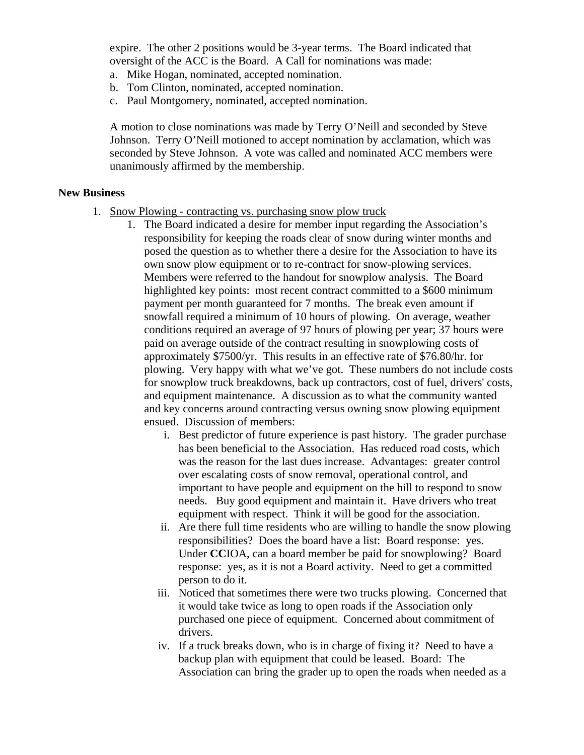expire. The other 2 positions would be 3-year terms. The Board indicated that oversight of the ACC is the Board. A Call for nominations was made:

- a. Mike Hogan, nominated, accepted nomination.
- b. Tom Clinton, nominated, accepted nomination.
- c. Paul Montgomery, nominated, accepted nomination.

A motion to close nominations was made by Terry O'Neill and seconded by Steve Johnson. Terry O'Neill motioned to accept nomination by acclamation, which was seconded by Steve Johnson. A vote was called and nominated ACC members were unanimously affirmed by the membership.

#### **New Business**

- 1. Snow Plowing contracting vs. purchasing snow plow truck
	- 1. The Board indicated a desire for member input regarding the Association's responsibility for keeping the roads clear of snow during winter months and posed the question as to whether there a desire for the Association to have its own snow plow equipment or to re-contract for snow-plowing services. Members were referred to the handout for snowplow analysis. The Board highlighted key points: most recent contract committed to a \$600 minimum payment per month guaranteed for 7 months. The break even amount if snowfall required a minimum of 10 hours of plowing. On average, weather conditions required an average of 97 hours of plowing per year; 37 hours were paid on average outside of the contract resulting in snowplowing costs of approximately \$7500/yr. This results in an effective rate of \$76.80/hr. for plowing. Very happy with what we've got. These numbers do not include costs for snowplow truck breakdowns, back up contractors, cost of fuel, drivers' costs, and equipment maintenance. A discussion as to what the community wanted and key concerns around contracting versus owning snow plowing equipment ensued. Discussion of members:
		- i. Best predictor of future experience is past history. The grader purchase has been beneficial to the Association. Has reduced road costs, which was the reason for the last dues increase. Advantages: greater control over escalating costs of snow removal, operational control, and important to have people and equipment on the hill to respond to snow needs. Buy good equipment and maintain it. Have drivers who treat equipment with respect. Think it will be good for the association.
		- ii. Are there full time residents who are willing to handle the snow plowing responsibilities? Does the board have a list: Board response: yes. Under **CC**IOA, can a board member be paid for snowplowing? Board response: yes, as it is not a Board activity. Need to get a committed person to do it.
		- iii. Noticed that sometimes there were two trucks plowing. Concerned that it would take twice as long to open roads if the Association only purchased one piece of equipment. Concerned about commitment of drivers.
		- iv. If a truck breaks down, who is in charge of fixing it? Need to have a backup plan with equipment that could be leased. Board: The Association can bring the grader up to open the roads when needed as a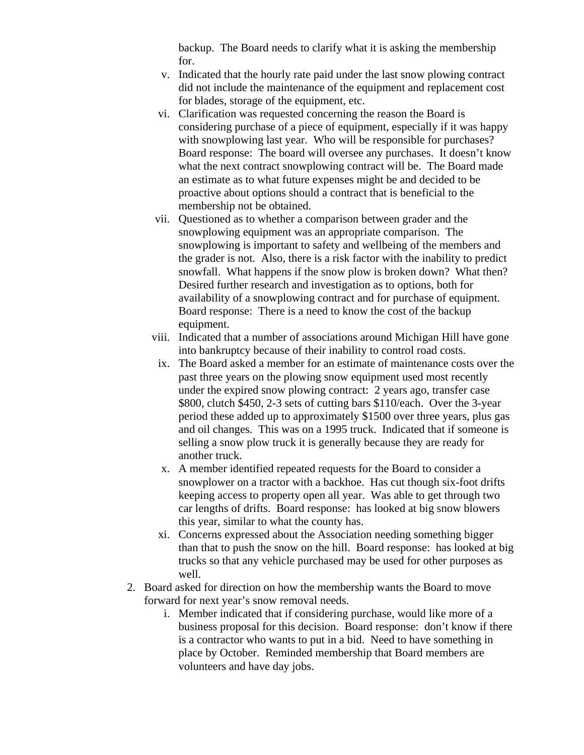backup. The Board needs to clarify what it is asking the membership for.

- v. Indicated that the hourly rate paid under the last snow plowing contract did not include the maintenance of the equipment and replacement cost for blades, storage of the equipment, etc.
- vi. Clarification was requested concerning the reason the Board is considering purchase of a piece of equipment, especially if it was happy with snowplowing last year. Who will be responsible for purchases? Board response: The board will oversee any purchases. It doesn't know what the next contract snowplowing contract will be. The Board made an estimate as to what future expenses might be and decided to be proactive about options should a contract that is beneficial to the membership not be obtained.
- vii. Questioned as to whether a comparison between grader and the snowplowing equipment was an appropriate comparison. The snowplowing is important to safety and wellbeing of the members and the grader is not. Also, there is a risk factor with the inability to predict snowfall. What happens if the snow plow is broken down? What then? Desired further research and investigation as to options, both for availability of a snowplowing contract and for purchase of equipment. Board response: There is a need to know the cost of the backup equipment.
- viii. Indicated that a number of associations around Michigan Hill have gone into bankruptcy because of their inability to control road costs.
- ix. The Board asked a member for an estimate of maintenance costs over the past three years on the plowing snow equipment used most recently under the expired snow plowing contract: 2 years ago, transfer case \$800, clutch \$450, 2-3 sets of cutting bars \$110/each. Over the 3-year period these added up to approximately \$1500 over three years, plus gas and oil changes. This was on a 1995 truck. Indicated that if someone is selling a snow plow truck it is generally because they are ready for another truck.
- x. A member identified repeated requests for the Board to consider a snowplower on a tractor with a backhoe. Has cut though six-foot drifts keeping access to property open all year. Was able to get through two car lengths of drifts. Board response: has looked at big snow blowers this year, similar to what the county has.
- xi. Concerns expressed about the Association needing something bigger than that to push the snow on the hill. Board response: has looked at big trucks so that any vehicle purchased may be used for other purposes as well.
- 2. Board asked for direction on how the membership wants the Board to move forward for next year's snow removal needs.
	- i. Member indicated that if considering purchase, would like more of a business proposal for this decision. Board response: don't know if there is a contractor who wants to put in a bid. Need to have something in place by October. Reminded membership that Board members are volunteers and have day jobs.